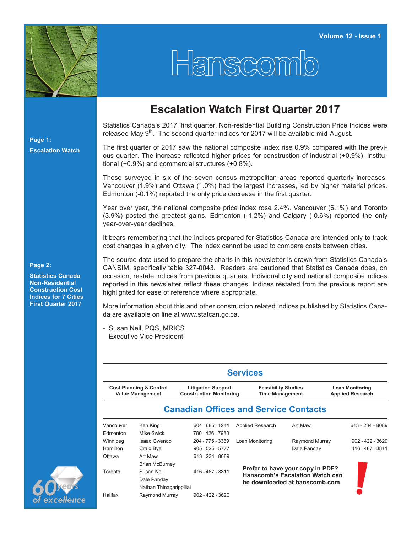

## Hanscom

## **Escalation Watch First Quarter 2017**

Statistics Canada's 2017, first quarter, Non-residential Building Construction Price Indices were released May  $9<sup>th</sup>$ . The second quarter indices for 2017 will be available mid-August.

The first quarter of 2017 saw the national composite index rise 0.9% compared with the previous quarter. The increase reflected higher prices for construction of industrial (+0.9%), institutional (+0.9%) and commercial structures (+0.8%).

Those surveyed in six of the seven census metropolitan areas reported quarterly increases. Vancouver (1.9%) and Ottawa (1.0%) had the largest increases, led by higher material prices. Edmonton (-0.1%) reported the only price decrease in the first quarter.

Year over year, the national composite price index rose 2.4%. Vancouver (6.1%) and Toronto (3.9%) posted the greatest gains. Edmonton (-1.2%) and Calgary (-0.6%) reported the only year-over-year declines.

It bears remembering that the indices prepared for Statistics Canada are intended only to track cost changes in a given city. The index cannot be used to compare costs between cities.

The source data used to prepare the charts in this newsletter is drawn from Statistics Canada's CANSIM, specifically table 327-0043. Readers are cautioned that Statistics Canada does, on occasion, restate indices from previous quarters. Individual city and national composite indices reported in this newsletter reflect these changes. Indices restated from the previous report are highlighted for ease of reference where appropriate.

More information about this and other construction related indices published by Statistics Canada are available on line at www.statcan.gc.ca.

- Susan Neil, PQS, MRICS Executive Vice President

| <b>Services</b>                                               |                         |                                                             |                                                                            |                               |                                                   |  |  |  |  |  |  |
|---------------------------------------------------------------|-------------------------|-------------------------------------------------------------|----------------------------------------------------------------------------|-------------------------------|---------------------------------------------------|--|--|--|--|--|--|
| <b>Cost Planning &amp; Control</b><br><b>Value Management</b> |                         | <b>Litigation Support</b><br><b>Construction Monitoring</b> | <b>Feasibility Studies</b><br><b>Time Management</b>                       |                               | <b>Loan Monitoring</b><br><b>Applied Research</b> |  |  |  |  |  |  |
|                                                               |                         |                                                             | <b>Canadian Offices and Service Contacts</b>                               |                               |                                                   |  |  |  |  |  |  |
| Vancouver                                                     | Ken King                | 604 - 685 - 1241                                            | <b>Applied Research</b>                                                    | Art Maw                       | 613 - 234 - 8089                                  |  |  |  |  |  |  |
| Edmonton                                                      | Mike Swick              | 780 - 426 - 7980                                            |                                                                            |                               |                                                   |  |  |  |  |  |  |
| Winnipeg                                                      | Isaac Gwendo            | 204 - 775 - 3389                                            | Loan Monitoring                                                            | Raymond Murray                | $902 - 422 - 3620$                                |  |  |  |  |  |  |
| Hamilton                                                      | Craig Bye               | $905 - 525 - 5777$                                          |                                                                            | Dale Panday                   | 416 - 487 - 3811                                  |  |  |  |  |  |  |
| Ottawa                                                        | Art Maw                 | 613 - 234 - 8089                                            |                                                                            |                               |                                                   |  |  |  |  |  |  |
|                                                               | <b>Brian McBurney</b>   |                                                             |                                                                            |                               |                                                   |  |  |  |  |  |  |
| Toronto                                                       | Susan Neil              | 416 - 487 - 3811                                            | Prefer to have your copy in PDF?<br><b>Hanscomb's Escalation Watch can</b> |                               |                                                   |  |  |  |  |  |  |
|                                                               | Dale Panday             |                                                             |                                                                            | be downloaded at hanscomb.com |                                                   |  |  |  |  |  |  |
|                                                               | Nathan Thinagarippillai |                                                             |                                                                            |                               |                                                   |  |  |  |  |  |  |
| Halifax                                                       | Raymond Murray          | $902 - 422 - 3620$                                          |                                                                            |                               |                                                   |  |  |  |  |  |  |

## **Page 2:**

**Page 1:**

**Escalation Watch**

**Statistics Canada Non-Residential Construction Cost Indices for 7 Cities First Quarter 2017**